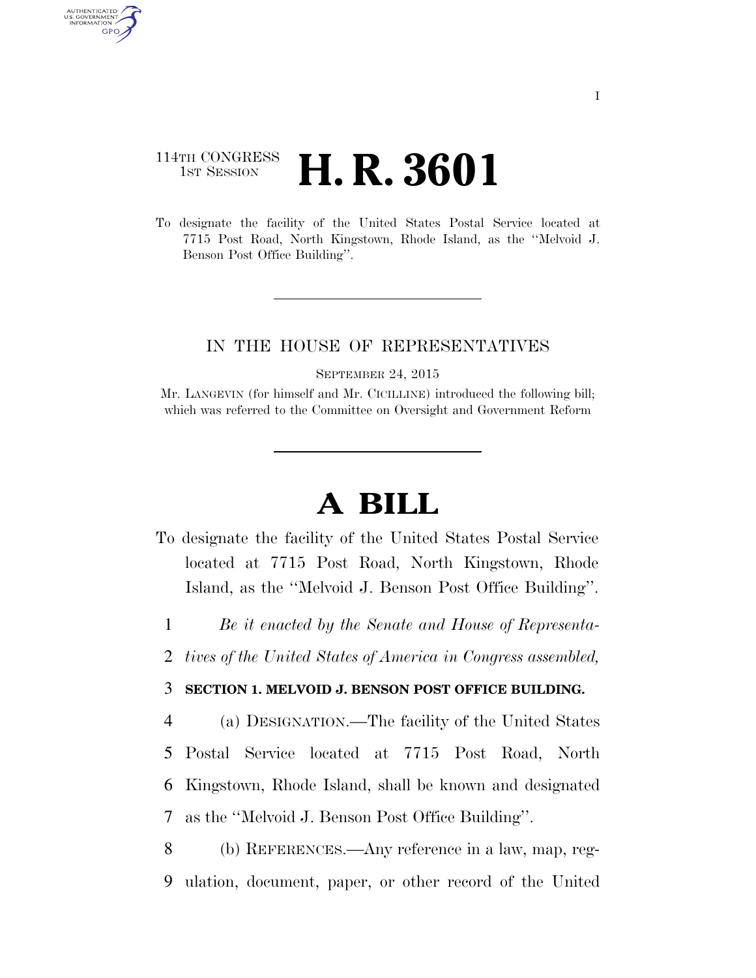## 114TH CONGRESS **1st Session H. R. 3601**

AUTHENTICATED U.S. GOVERNMENT GPO

> To designate the facility of the United States Postal Service located at 7715 Post Road, North Kingstown, Rhode Island, as the ''Melvoid J. Benson Post Office Building''.

## IN THE HOUSE OF REPRESENTATIVES

SEPTEMBER 24, 2015

Mr. LANGEVIN (for himself and Mr. CICILLINE) introduced the following bill; which was referred to the Committee on Oversight and Government Reform

## **A BILL**

- To designate the facility of the United States Postal Service located at 7715 Post Road, North Kingstown, Rhode Island, as the ''Melvoid J. Benson Post Office Building''.
	- 1 *Be it enacted by the Senate and House of Representa-*
- 2 *tives of the United States of America in Congress assembled,*

## 3 **SECTION 1. MELVOID J. BENSON POST OFFICE BUILDING.**

 (a) DESIGNATION.—The facility of the United States Postal Service located at 7715 Post Road, North Kingstown, Rhode Island, shall be known and designated as the ''Melvoid J. Benson Post Office Building''.

8 (b) REFERENCES.—Any reference in a law, map, reg-9 ulation, document, paper, or other record of the United